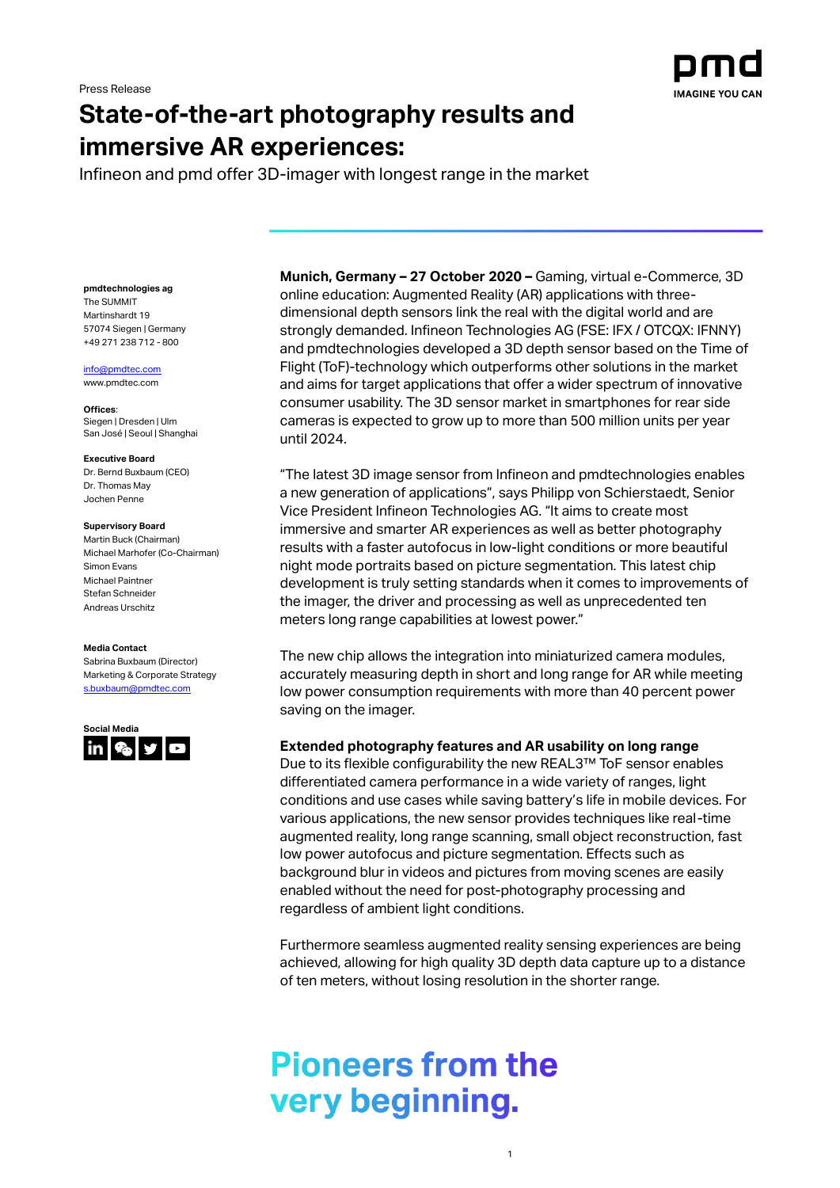

## **State-of-the-art photography results and immersive AR experiences:**

Infineon and pmd offer 3D-imager with longest range in the market

**pmdtechnologies ag**

The SUMMIT Martinshardt 19 57074 Siegen | Germany +49 271 238 712 - 800

#### [info@pmdtec.com](mailto:info@pmdtec.com)

[www.pmdtec.com](http://www.pmdtec.com/)

**Offices**: Siegen | Dresden | Ulm San José | Seoul | Shanghai

#### **Executive Board**

Dr. Bernd Buxbaum (CEO) Dr. Thomas May Jochen Penne

#### **Supervisory Board**

Martin Buck (Chairman) Michael Marhofer (Co-Chairman) Simon Evans Michael Paintner Stefan Schneider Andreas Urschitz

#### **Media Contact**

Sabrina Buxbaum (Director) Marketing & Corporate Strategy [s.buxbaum@pmdtec.com](mailto:s.buxbaum@pmdtec.com)



**Munich, Germany – 27 October 2020 –** Gaming, virtual e-Commerce, 3D online education: Augmented Reality (AR) applications with threedimensional depth sensors link the real with the digital world and are strongly demanded. Infineon Technologies AG (FSE: IFX / OTCQX: IFNNY) and pmdtechnologies developed a 3D depth sensor based on the Time of Flight (ToF)-technology which outperforms other solutions in the market and aims for target applications that offer a wider spectrum of innovative consumer usability. The 3D sensor market in smartphones for rear side cameras is expected to grow up to more than 500 million units per year until 2024.

"The latest 3D image sensor from Infineon and pmdtechnologies enables a new generation of applications", says Philipp von Schierstaedt, Senior Vice President Infineon Technologies AG. "It aims to create most immersive and smarter AR experiences as well as better photography results with a faster autofocus in low-light conditions or more beautiful night mode portraits based on picture segmentation. This latest chip development is truly setting standards when it comes to improvements of the imager, the driver and processing as well as unprecedented ten meters long range capabilities at lowest power."

The new chip allows the integration into miniaturized camera modules, accurately measuring depth in short and long range for AR while meeting low power consumption requirements with more than 40 percent power saving on the imager.

## **Extended photography features and AR usability on long range**

Due to its flexible configurability the new REAL3™ ToF sensor enables differentiated camera performance in a wide variety of ranges, light conditions and use cases while saving battery's life in mobile devices. For various applications, the new sensor provides techniques like real-time augmented reality, long range scanning, small object reconstruction, fast low power autofocus and picture segmentation. Effects such as background blur in videos and pictures from moving scenes are easily enabled without the need for post-photography processing and regardless of ambient light conditions.

Furthermore seamless augmented reality sensing experiences are being achieved, allowing for high quality 3D depth data capture up to a distance of ten meters, without losing resolution in the shorter range.

1

# **Pioneers from the** very beginning.